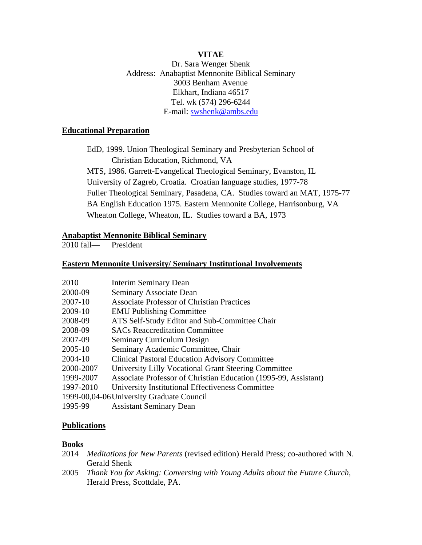### **VITAE**

Dr. Sara Wenger Shenk Address: Anabaptist Mennonite Biblical Seminary 3003 Benham Avenue Elkhart, Indiana 46517 Tel. wk (574) 296-6244 E-mail: swshenk@ambs.edu

#### **Educational Preparation**

EdD, 1999. Union Theological Seminary and Presbyterian School of Christian Education, Richmond, VA MTS, 1986. Garrett-Evangelical Theological Seminary, Evanston, IL University of Zagreb, Croatia. Croatian language studies, 1977-78 Fuller Theological Seminary, Pasadena, CA. Studies toward an MAT, 1975-77 BA English Education 1975. Eastern Mennonite College, Harrisonburg, VA Wheaton College, Wheaton, IL. Studies toward a BA, 1973

### **Anabaptist Mennonite Biblical Seminary**

2010 fall— President

#### **Eastern Mennonite University/ Seminary Institutional Involvements**

| 2010      | <b>Interim Seminary Dean</b>                                    |
|-----------|-----------------------------------------------------------------|
| 2000-09   | Seminary Associate Dean                                         |
| 2007-10   | <b>Associate Professor of Christian Practices</b>               |
| 2009-10   | <b>EMU Publishing Committee</b>                                 |
| 2008-09   | ATS Self-Study Editor and Sub-Committee Chair                   |
| 2008-09   | <b>SACs Reaccreditation Committee</b>                           |
| 2007-09   | Seminary Curriculum Design                                      |
| 2005-10   | Seminary Academic Committee, Chair                              |
| 2004-10   | <b>Clinical Pastoral Education Advisory Committee</b>           |
| 2000-2007 | University Lilly Vocational Grant Steering Committee            |
| 1999-2007 | Associate Professor of Christian Education (1995-99, Assistant) |
| 1997-2010 | University Institutional Effectiveness Committee                |
|           | 1999-00,04-06 University Graduate Council                       |
| 1995-99   | <b>Assistant Seminary Dean</b>                                  |

### **Publications**

#### **Books**

- 2014 *Meditations for New Parents* (revised edition) Herald Press; co-authored with N. Gerald Shenk
- 2005 *Thank You for Asking: Conversing with Young Adults about the Future Church*, Herald Press, Scottdale, PA.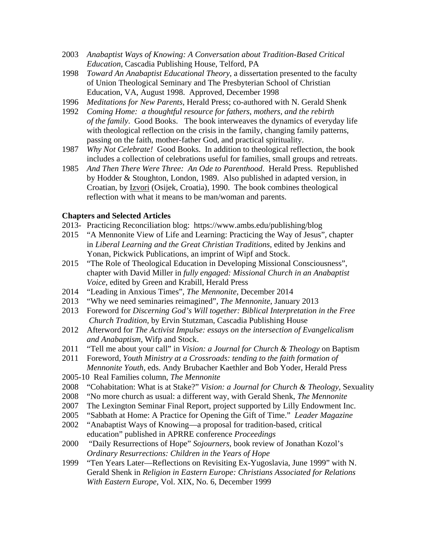- 2003 *Anabaptist Ways of Knowing: A Conversation about Tradition-Based Critical Education*, Cascadia Publishing House, Telford, PA
- 1998 *Toward An Anabaptist Educational Theory*, a dissertation presented to the faculty of Union Theological Seminary and The Presbyterian School of Christian Education, VA, August 1998. Approved, December 1998
- 1996 *Meditations for New Parents*, Herald Press; co-authored with N. Gerald Shenk
- 1992 *Coming Home: a thoughtful resource for fathers, mothers, and the rebirth of the family*. Good Books. The book interweaves the dynamics of everyday life with theological reflection on the crisis in the family, changing family patterns, passing on the faith, mother-father God, and practical spirituality.
- 1987 *Why Not Celebrate!* Good Books. In addition to theological reflection, the book includes a collection of celebrations useful for families, small groups and retreats.
- 1985 *And Then There Were Three: An Ode to Parenthood*. Herald Press. Republished by Hodder & Stoughton, London, 1989. Also published in adapted version, in Croatian, by Izvori (Osijek, Croatia), 1990. The book combines theological reflection with what it means to be man/woman and parents.

#### **Chapters and Selected Articles**

- 2013- Practicing Reconciliation blog: https://www.ambs.edu/publishing/blog
- 2015 "A Mennonite View of Life and Learning: Practicing the Way of Jesus", chapter in *Liberal Learning and the Great Christian Traditions*, edited by Jenkins and Yonan, Pickwick Publications, an imprint of Wipf and Stock.
- 2015 "The Role of Theological Education in Developing Missional Consciousness", chapter with David Miller in *fully engaged: Missional Church in an Anabaptist Voice*, edited by Green and Krabill, Herald Press
- 2014 "Leading in Anxious Times", *The Mennonite*, December 2014
- 2013 "Why we need seminaries reimagined", *The Mennonite*, January 2013
- 2013 Foreword for *Discerning God's Will together: Biblical Interpretation in the Free Church Tradition,* by Ervin Stutzman, Cascadia Publishing House
- 2012 Afterword for *The Activist Impulse: essays on the intersection of Evangelicalism and Anabaptism,* Wifp and Stock.
- 2011 "Tell me about your call" in *Vision: a Journal for Church & Theology* on Baptism
- 2011 Foreword, *Youth Ministry at a Crossroads: tending to the faith formation of Mennonite Youth*, eds. Andy Brubacher Kaethler and Bob Yoder, Herald Press
- 2005-10 Real Families column, *The Mennonite*
- 2008 "Cohabitation: What is at Stake?" *Vision: a Journal for Church & Theology,* Sexuality
- 2008 "No more church as usual: a different way, with Gerald Shenk, *The Mennonite*
- 2007 The Lexington Seminar Final Report, project supported by Lilly Endowment Inc.
- 2005 "Sabbath at Home: A Practice for Opening the Gift of Time." *Leader Magazine*
- 2002 "Anabaptist Ways of Knowing—a proposal for tradition-based, critical education" published in APRRE conference *Proceedings*
- 2000 "Daily Resurrections of Hope" *Sojourners*, book review of Jonathan Kozol's *Ordinary Resurrections: Children in the Years of Hope*
- 1999 "Ten Years Later—Reflections on Revisiting Ex-Yugoslavia, June 1999" with N. Gerald Shenk in *Religion in Eastern Europe: Christians Associated for Relations With Eastern Europe*, Vol. XIX, No. 6, December 1999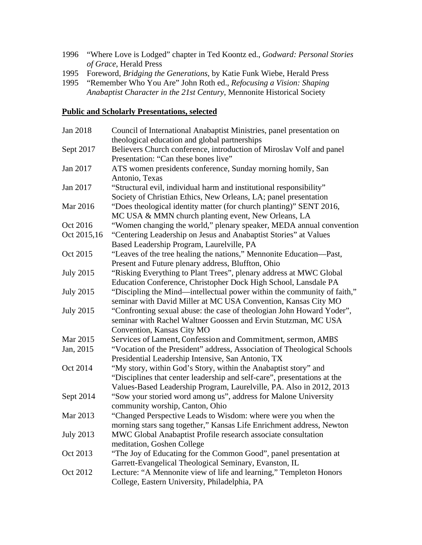- 1996 "Where Love is Lodged" chapter in Ted Koontz ed., *Godward: Personal Stories of Grace*, Herald Press
- 1995 Foreword, *Bridging the Generations*, by Katie Funk Wiebe, Herald Press
- 1995 "Remember Who You Are" John Roth ed., *Refocusing a Vision: Shaping Anabaptist Character in the 21st Century*, Mennonite Historical Society

## **Public and Scholarly Presentations, selected**

| Jan 2018         | Council of International Anabaptist Ministries, panel presentation on    |
|------------------|--------------------------------------------------------------------------|
|                  | theological education and global partnerships                            |
| Sept 2017        | Believers Church conference, introduction of Miroslav Volf and panel     |
|                  | Presentation: "Can these bones live"                                     |
| Jan 2017         | ATS women presidents conference, Sunday morning homily, San              |
|                  | Antonio, Texas                                                           |
| Jan 2017         | "Structural evil, individual harm and institutional responsibility"      |
|                  | Society of Christian Ethics, New Orleans, LA; panel presentation         |
| Mar 2016         | "Does theological identity matter (for church planting)" SENT 2016,      |
|                  | MC USA & MMN church planting event, New Orleans, LA                      |
| Oct 2016         | "Women changing the world," plenary speaker, MEDA annual convention      |
| Oct 2015,16      | "Centering Leadership on Jesus and Anabaptist Stories" at Values         |
|                  | Based Leadership Program, Laurelville, PA                                |
| Oct 2015         | "Leaves of the tree healing the nations," Mennonite Education—Past,      |
|                  | Present and Future plenary address, Bluffton, Ohio                       |
| <b>July 2015</b> | "Risking Everything to Plant Trees", plenary address at MWC Global       |
|                  | Education Conference, Christopher Dock High School, Lansdale PA          |
| <b>July 2015</b> | "Discipling the Mind—intellectual power within the community of faith,"  |
|                  | seminar with David Miller at MC USA Convention, Kansas City MO           |
| <b>July 2015</b> | "Confronting sexual abuse: the case of theologian John Howard Yoder",    |
|                  | seminar with Rachel Waltner Goossen and Ervin Stutzman, MC USA           |
|                  | Convention, Kansas City MO                                               |
| Mar 2015         | Services of Lament, Confession and Commitment, sermon, AMBS              |
| Jan, 2015        | "Vocation of the President" address, Association of Theological Schools  |
|                  | Presidential Leadership Intensive, San Antonio, TX                       |
| Oct 2014         | "My story, within God's Story, within the Anabaptist story" and          |
|                  | "Disciplines that center leadership and self-care", presentations at the |
|                  | Values-Based Leadership Program, Laurelville, PA. Also in 2012, 2013     |
| Sept 2014        | "Sow your storied word among us", address for Malone University          |
|                  | community worship, Canton, Ohio                                          |
| Mar 2013         | "Changed Perspective Leads to Wisdom: where were you when the            |
|                  | morning stars sang together," Kansas Life Enrichment address, Newton     |
| <b>July 2013</b> | MWC Global Anabaptist Profile research associate consultation            |
|                  | meditation, Goshen College                                               |
| Oct 2013         | "The Joy of Educating for the Common Good", panel presentation at        |
|                  | Garrett-Evangelical Theological Seminary, Evanston, IL                   |
| Oct 2012         | Lecture: "A Mennonite view of life and learning," Templeton Honors       |
|                  | College, Eastern University, Philadelphia, PA                            |
|                  |                                                                          |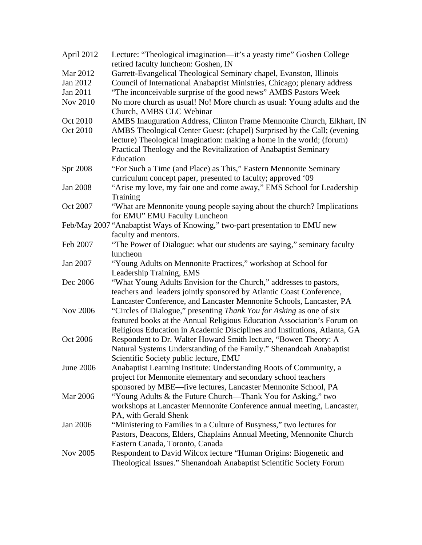| April 2012       | Lecture: "Theological imagination—it's a yeasty time" Goshen College<br>retired faculty luncheon: Goshen, IN |
|------------------|--------------------------------------------------------------------------------------------------------------|
| Mar 2012         | Garrett-Evangelical Theological Seminary chapel, Evanston, Illinois                                          |
| Jan 2012         | Council of International Anabaptist Ministries, Chicago; plenary address                                     |
| Jan 2011         | "The inconceivable surprise of the good news" AMBS Pastors Week                                              |
| Nov 2010         | No more church as usual! No! More church as usual: Young adults and the                                      |
|                  | Church, AMBS CLC Webinar                                                                                     |
| Oct 2010         | AMBS Inauguration Address, Clinton Frame Mennonite Church, Elkhart, IN                                       |
| Oct 2010         | AMBS Theological Center Guest: (chapel) Surprised by the Call; (evening                                      |
|                  | lecture) Theological Imagination: making a home in the world; (forum)                                        |
|                  | Practical Theology and the Revitalization of Anabaptist Seminary                                             |
|                  | Education                                                                                                    |
| Spr 2008         | "For Such a Time (and Place) as This," Eastern Mennonite Seminary                                            |
|                  | curriculum concept paper, presented to faculty; approved '09                                                 |
| Jan 2008         | "Arise my love, my fair one and come away," EMS School for Leadership                                        |
|                  | Training                                                                                                     |
| Oct 2007         | "What are Mennonite young people saying about the church? Implications                                       |
|                  | for EMU" EMU Faculty Luncheon                                                                                |
|                  | Feb/May 2007 "Anabaptist Ways of Knowing," two-part presentation to EMU new                                  |
|                  | faculty and mentors.                                                                                         |
| Feb 2007         | "The Power of Dialogue: what our students are saying," seminary faculty                                      |
|                  | luncheon                                                                                                     |
| Jan 2007         | "Young Adults on Mennonite Practices," workshop at School for                                                |
|                  | Leadership Training, EMS                                                                                     |
| Dec 2006         | "What Young Adults Envision for the Church," addresses to pastors,                                           |
|                  | teachers and leaders jointly sponsored by Atlantic Coast Conference,                                         |
|                  | Lancaster Conference, and Lancaster Mennonite Schools, Lancaster, PA                                         |
| <b>Nov 2006</b>  | "Circles of Dialogue," presenting Thank You for Asking as one of six                                         |
|                  | featured books at the Annual Religious Education Association's Forum on                                      |
|                  | Religious Education in Academic Disciplines and Institutions, Atlanta, GA                                    |
| Oct 2006         | Respondent to Dr. Walter Howard Smith lecture, "Bowen Theory: A                                              |
|                  | Natural Systems Understanding of the Family." Shenandoah Anabaptist                                          |
|                  | Scientific Society public lecture, EMU                                                                       |
| <b>June 2006</b> | Anabaptist Learning Institute: Understanding Roots of Community, a                                           |
|                  | project for Mennonite elementary and secondary school teachers                                               |
|                  | sponsored by MBE—five lectures, Lancaster Mennonite School, PA                                               |
| Mar 2006         | "Young Adults & the Future Church—Thank You for Asking," two                                                 |
|                  | workshops at Lancaster Mennonite Conference annual meeting, Lancaster,                                       |
|                  | PA, with Gerald Shenk                                                                                        |
| Jan 2006         | "Ministering to Families in a Culture of Busyness," two lectures for                                         |
|                  | Pastors, Deacons, Elders, Chaplains Annual Meeting, Mennonite Church                                         |
|                  | Eastern Canada, Toronto, Canada                                                                              |
| Nov 2005         | Respondent to David Wilcox lecture "Human Origins: Biogenetic and                                            |
|                  | Theological Issues." Shenandoah Anabaptist Scientific Society Forum                                          |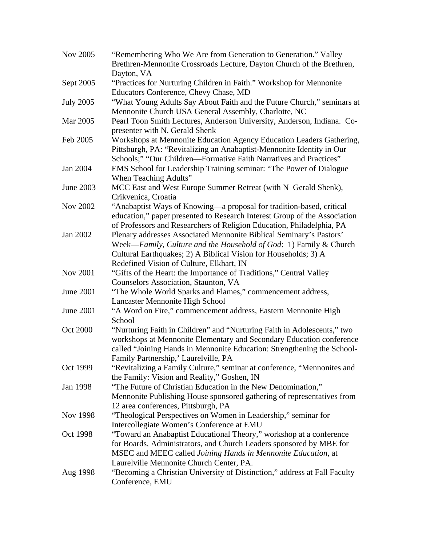| Nov 2005         | "Remembering Who We Are from Generation to Generation." Valley<br>Brethren-Mennonite Crossroads Lecture, Dayton Church of the Brethren,                                                                                                                            |
|------------------|--------------------------------------------------------------------------------------------------------------------------------------------------------------------------------------------------------------------------------------------------------------------|
|                  | Dayton, VA                                                                                                                                                                                                                                                         |
| Sept 2005        | "Practices for Nurturing Children in Faith." Workshop for Mennonite<br>Educators Conference, Chevy Chase, MD                                                                                                                                                       |
| <b>July 2005</b> | "What Young Adults Say About Faith and the Future Church," seminars at<br>Mennonite Church USA General Assembly, Charlotte, NC                                                                                                                                     |
| Mar 2005         | Pearl Toon Smith Lectures, Anderson University, Anderson, Indiana. Co-<br>presenter with N. Gerald Shenk                                                                                                                                                           |
| Feb 2005         | Workshops at Mennonite Education Agency Education Leaders Gathering,<br>Pittsburgh, PA: "Revitalizing an Anabaptist-Mennonite Identity in Our<br>Schools;" "Our Children—Formative Faith Narratives and Practices"                                                 |
| Jan 2004         | EMS School for Leadership Training seminar: "The Power of Dialogue<br>When Teaching Adults"                                                                                                                                                                        |
| June 2003        | MCC East and West Europe Summer Retreat (with N Gerald Shenk),<br>Crikvenica, Croatia                                                                                                                                                                              |
| Nov 2002         | "Anabaptist Ways of Knowing-a proposal for tradition-based, critical<br>education," paper presented to Research Interest Group of the Association<br>of Professors and Researchers of Religion Education, Philadelphia, PA                                         |
| Jan 2002         | Plenary addresses Associated Mennonite Biblical Seminary's Pastors'<br>Week—Family, Culture and the Household of God: 1) Family & Church<br>Cultural Earthquakes; 2) A Biblical Vision for Households; 3) A<br>Redefined Vision of Culture, Elkhart, IN            |
| <b>Nov 2001</b>  | "Gifts of the Heart: the Importance of Traditions," Central Valley<br>Counselors Association, Staunton, VA                                                                                                                                                         |
| <b>June 2001</b> | "The Whole World Sparks and Flames," commencement address,<br>Lancaster Mennonite High School                                                                                                                                                                      |
| June 2001        | "A Word on Fire," commencement address, Eastern Mennonite High<br>School                                                                                                                                                                                           |
| <b>Oct 2000</b>  | "Nurturing Faith in Children" and "Nurturing Faith in Adolescents," two<br>workshops at Mennonite Elementary and Secondary Education conference<br>called "Joining Hands in Mennonite Education: Strengthening the School-<br>Family Partnership,' Laurelville, PA |
| Oct 1999         | "Revitalizing a Family Culture," seminar at conference, "Mennonites and<br>the Family: Vision and Reality," Goshen, IN                                                                                                                                             |
| Jan 1998         | "The Future of Christian Education in the New Denomination,"<br>Mennonite Publishing House sponsored gathering of representatives from<br>12 area conferences, Pittsburgh, PA                                                                                      |
| Nov 1998         | "Theological Perspectives on Women in Leadership," seminar for<br>Intercollegiate Women's Conference at EMU                                                                                                                                                        |
| Oct 1998         | "Toward an Anabaptist Educational Theory," workshop at a conference<br>for Boards, Administrators, and Church Leaders sponsored by MBE for<br>MSEC and MEEC called Joining Hands in Mennonite Education, at<br>Laurelville Mennonite Church Center, PA.            |
| Aug 1998         | "Becoming a Christian University of Distinction," address at Fall Faculty<br>Conference, EMU                                                                                                                                                                       |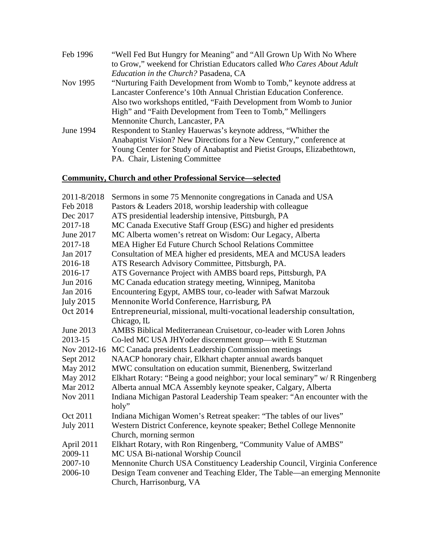| Feb 1996  | "Well Fed But Hungry for Meaning" and "All Grown Up With No Where       |
|-----------|-------------------------------------------------------------------------|
|           | to Grow," weekend for Christian Educators called Who Cares About Adult  |
|           | Education in the Church? Pasadena, CA                                   |
| Nov 1995  | "Nurturing Faith Development from Womb to Tomb," keynote address at     |
|           | Lancaster Conference's 10th Annual Christian Education Conference.      |
|           | Also two workshops entitled, "Faith Development from Womb to Junior     |
|           | High" and "Faith Development from Teen to Tomb," Mellingers             |
|           | Mennonite Church, Lancaster, PA                                         |
| June 1994 | Respondent to Stanley Hauerwas's keynote address, "Whither the          |
|           | Anabaptist Vision? New Directions for a New Century," conference at     |
|           | Young Center for Study of Anabaptist and Pietist Groups, Elizabethtown, |
|           | PA. Chair, Listening Committee                                          |

## **Community, Church and other Professional Service—selected**

| 2011-8/2018      | Sermons in some 75 Mennonite congregations in Canada and USA                       |
|------------------|------------------------------------------------------------------------------------|
| Feb 2018         | Pastors & Leaders 2018, worship leadership with colleague                          |
| Dec 2017         | ATS presidential leadership intensive, Pittsburgh, PA                              |
| 2017-18          | MC Canada Executive Staff Group (ESG) and higher ed presidents                     |
| June 2017        | MC Alberta women's retreat on Wisdom: Our Legacy, Alberta                          |
| 2017-18          | MEA Higher Ed Future Church School Relations Committee                             |
| Jan 2017         | Consultation of MEA higher ed presidents, MEA and MCUSA leaders                    |
| 2016-18          | ATS Research Advisory Committee, Pittsburgh, PA.                                   |
| 2016-17          | ATS Governance Project with AMBS board reps, Pittsburgh, PA                        |
| Jun 2016         | MC Canada education strategy meeting, Winnipeg, Manitoba                           |
| Jan 2016         | Encountering Egypt, AMBS tour, co-leader with Safwat Marzouk                       |
| <b>July 2015</b> | Mennonite World Conference, Harrisburg, PA                                         |
| Oct 2014         | Entrepreneurial, missional, multi-vocational leadership consultation,              |
|                  | Chicago, IL                                                                        |
| June 2013        | AMBS Biblical Mediterranean Cruisetour, co-leader with Loren Johns                 |
| 2013-15          | Co-led MC USA JHYoder discernment group—with E Stutzman                            |
| Nov 2012-16      | MC Canada presidents Leadership Commission meetings                                |
| Sept 2012        | NAACP honorary chair, Elkhart chapter annual awards banquet                        |
| May 2012         | MWC consultation on education summit, Bienenberg, Switzerland                      |
| May 2012         | Elkhart Rotary: "Being a good neighbor; your local seminary" w/R Ringenberg        |
| Mar 2012         | Alberta annual MCA Assembly keynote speaker, Calgary, Alberta                      |
| Nov 2011         | Indiana Michigan Pastoral Leadership Team speaker: "An encounter with the<br>holy" |
| Oct 2011         | Indiana Michigan Women's Retreat speaker: "The tables of our lives"                |
| <b>July 2011</b> | Western District Conference, keynote speaker; Bethel College Mennonite             |
|                  | Church, morning sermon                                                             |
| April 2011       | Elkhart Rotary, with Ron Ringenberg, "Community Value of AMBS"                     |
| 2009-11          | MC USA Bi-national Worship Council                                                 |
| 2007-10          | Mennonite Church USA Constituency Leadership Council, Virginia Conference          |
| 2006-10          | Design Team convener and Teaching Elder, The Table—an emerging Mennonite           |
|                  | Church, Harrisonburg, VA                                                           |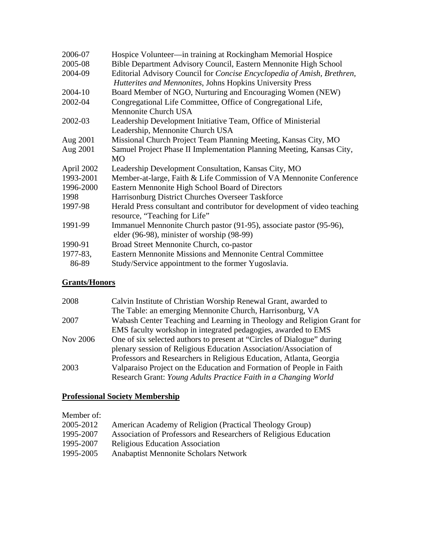| 2006-07    | Hospice Volunteer—in training at Rockingham Memorial Hospice              |
|------------|---------------------------------------------------------------------------|
| 2005-08    | Bible Department Advisory Council, Eastern Mennonite High School          |
| 2004-09    | Editorial Advisory Council for Concise Encyclopedia of Amish, Brethren,   |
|            | Hutterites and Mennonites, Johns Hopkins University Press                 |
| 2004-10    | Board Member of NGO, Nurturing and Encouraging Women (NEW)                |
| 2002-04    | Congregational Life Committee, Office of Congregational Life,             |
|            | <b>Mennonite Church USA</b>                                               |
| 2002-03    | Leadership Development Initiative Team, Office of Ministerial             |
|            | Leadership, Mennonite Church USA                                          |
| Aug 2001   | Missional Church Project Team Planning Meeting, Kansas City, MO           |
| Aug 2001   | Samuel Project Phase II Implementation Planning Meeting, Kansas City,     |
|            | <b>MO</b>                                                                 |
| April 2002 | Leadership Development Consultation, Kansas City, MO                      |
| 1993-2001  | Member-at-large, Faith & Life Commission of VA Mennonite Conference       |
| 1996-2000  | Eastern Mennonite High School Board of Directors                          |
| 1998       | Harrisonburg District Churches Overseer Taskforce                         |
| 1997-98    | Herald Press consultant and contributor for development of video teaching |
|            | resource, "Teaching for Life"                                             |
| 1991-99    | Immanuel Mennonite Church pastor (91-95), associate pastor (95-96),       |
|            | elder (96-98), minister of worship (98-99)                                |
| 1990-91    | Broad Street Mennonite Church, co-pastor                                  |
| 1977-83,   | Eastern Mennonite Missions and Mennonite Central Committee                |
| 86-89      | Study/Service appointment to the former Yugoslavia.                       |

# **Grants/Honors**

| Wabash Center Teaching and Learning in Theology and Religion Grant for |
|------------------------------------------------------------------------|
|                                                                        |
|                                                                        |
|                                                                        |
|                                                                        |
|                                                                        |
|                                                                        |
|                                                                        |

## **Professional Society Membership**

Member of:

| 2005-2012 | American Academy of Religion (Practical Theology Group)          |
|-----------|------------------------------------------------------------------|
| 1995-2007 | Association of Professors and Researchers of Religious Education |
| 1995-2007 | <b>Religious Education Association</b>                           |
| 1995-2005 | <b>Anabaptist Mennonite Scholars Network</b>                     |